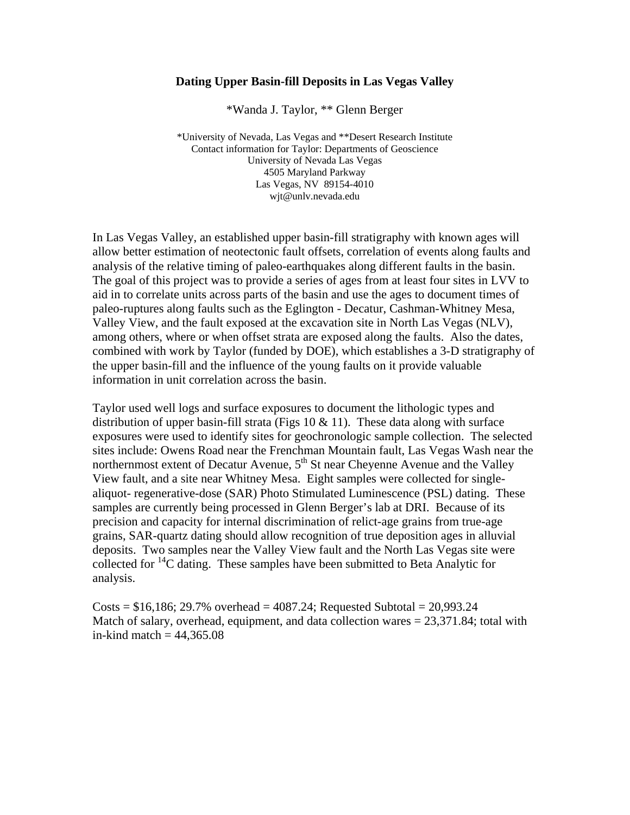## **Dating Upper Basin-fill Deposits in Las Vegas Valley**

\*Wanda J. Taylor, \*\* Glenn Berger

\*University of Nevada, Las Vegas and \*\*Desert Research Institute Contact information for Taylor: Departments of Geoscience University of Nevada Las Vegas 4505 Maryland Parkway Las Vegas, NV 89154-4010 wjt@unlv.nevada.edu

In Las Vegas Valley, an established upper basin-fill stratigraphy with known ages will allow better estimation of neotectonic fault offsets, correlation of events along faults and analysis of the relative timing of paleo-earthquakes along different faults in the basin. The goal of this project was to provide a series of ages from at least four sites in LVV to aid in to correlate units across parts of the basin and use the ages to document times of paleo-ruptures along faults such as the Eglington - Decatur, Cashman-Whitney Mesa, Valley View, and the fault exposed at the excavation site in North Las Vegas (NLV), among others, where or when offset strata are exposed along the faults. Also the dates, combined with work by Taylor (funded by DOE), which establishes a 3-D stratigraphy of the upper basin-fill and the influence of the young faults on it provide valuable information in unit correlation across the basin.

Taylor used well logs and surface exposures to document the lithologic types and distribution of upper basin-fill strata (Figs  $10 \& 11$ ). These data along with surface exposures were used to identify sites for geochronologic sample collection. The selected sites include: Owens Road near the Frenchman Mountain fault, Las Vegas Wash near the northernmost extent of Decatur Avenue,  $5<sup>th</sup>$  St near Cheyenne Avenue and the Valley View fault, and a site near Whitney Mesa. Eight samples were collected for singlealiquot- regenerative-dose (SAR) Photo Stimulated Luminescence (PSL) dating. These samples are currently being processed in Glenn Berger's lab at DRI. Because of its precision and capacity for internal discrimination of relict-age grains from true-age grains, SAR-quartz dating should allow recognition of true deposition ages in alluvial deposits. Two samples near the Valley View fault and the North Las Vegas site were collected for  ${}^{14}C$  dating. These samples have been submitted to Beta Analytic for analysis.

Costs =  $$16,186; 29.7%$  overhead =  $4087.24$ ; Requested Subtotal =  $20,993.24$ Match of salary, overhead, equipment, and data collection wares  $= 23,371.84$ ; total with in-kind match  $= 44,365.08$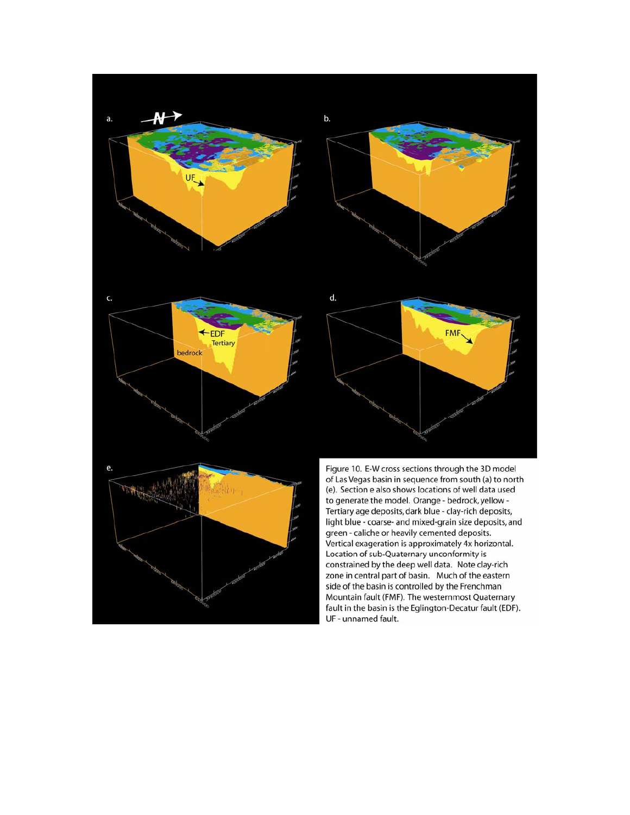